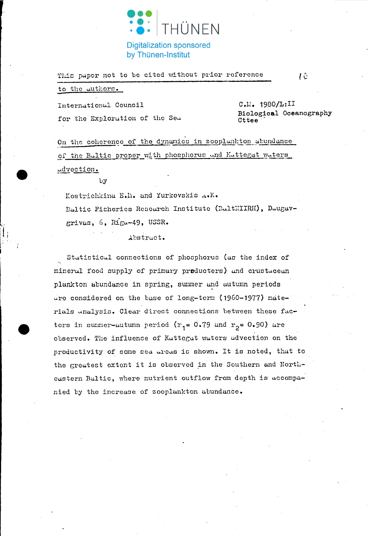

This paper not to be cited without prior reference

to the authors.

International Council for the Exploration of the Sea

C.M. 1980/L:II Biological Oceanography Cttee

 $10<sup>°</sup>$ 

On the coherence of the dynamics in zooplankton abundance of the Baltic proper with phosphorus and Kattegat waters udvection.

 $\mathbf{b}$ 

Kostrichkina E.M. and Yurkovskis A.K. Baltic Fisheries Research Institute (BaltNIIRH), Daugavgrivas, 6, Riga-49, USSR.

Abstract.

Statistical connections of phosphorus (as the index of mineral food supply of primary producters) and crustacean plankton abundance in spring, summer and autumn periods are considered on the base of long-term (1960-1977) materials unalysis. Clear direct connections between these factors in summer-autumn period  $(r_1 = 0.79$  and  $r_2 = 0.90)$  are observed. The influence of Kattegat waters advection on the productivity of some sea areas is shown. It is noted, that to the greatest extent it is observed in the Southern and Northeastern Baltic, where nutrient outflow from depth is accompanied by the increase of zooplankton abundance.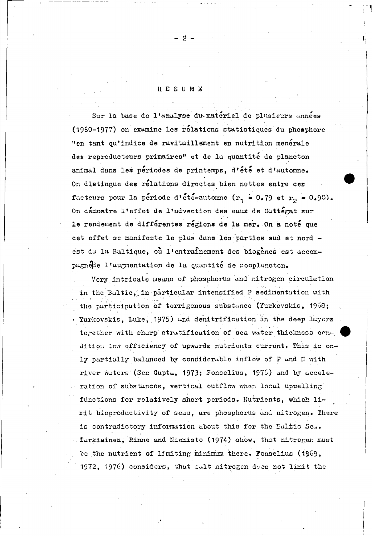## RESUME

 $2 -$ 

Sur la base de l'analyse du matériel de plusieurs années (1960-1977) on examine les rélations statistiques du phosphore "en tant qu'indice de ravitaillement en nutrition menérale des reproducteurs primaires" et de la quantité de plancton animal dans les périodes de printemps, d'été et d'automne. On distingue des rélations directes bien nettes entre ces facteurs pour la période d'été-autonne ( $r_1 = 0.79$  et  $r_2 = 0.90$ ). On demontre l'effet de l'advection des eaux de Cattegat sur le rendement de différentes régions de la mer. On a noté que cet effet se manifeste le plus dans les parties sud et nord est du la Bultique, où l'entrainement des biogènes est accompagnétie l'augmentation de la quantité de sooplancten.

Very intricate means of phosphorus and nitrogen circulation in the Baltic, in particular intensified P sedimentation with the participation of terrigenous substance (Yurkovskis, 1968; Yurkovskis, Luke, 1975) und denitrification in the deep layers together with sharp stratification of sea water thickness condition low efficiency of upwards nutrients current. This is only partially balanced by considerable inflow of P and N with river waters (Sen Gupta, 1973; Fonselius, 1976) and by acceleration of substances, vertical outflow when local upwelling functions for relatively short periods. Nutrients, which limit bioproductivity of seas, are phosphorus and nitrogen. There is contradictory information about this for the Ealtic Sea. Tarkiainen, Rinne and Niemisto (1974) show, that nitrogen must be the nutrient of limiting minimum there. Fonselius (1969, 1972, 1976) considers, that sult nitrogen deep not limit the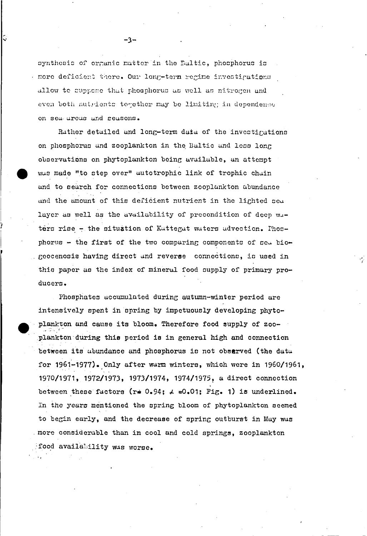synthesis of organic matter in the Baltic, phosphorus is more deficient there. Our long-term regime investigations allow to suppose that phosphorus as well as nitrogen and even both nutrients together may be limiting in dependence on sea areas and seasons.

Rather detailed and long-term data of the investigations on phosphorus and zooplankton in the Baltic and less long observations on phytoplankton being available, an attempt was made "to step over" autotrophic link of trophic chain and to search for connections between zooplankton abundance and the amount of this deficient nutrient in the lighted sea layer as well as the availability of precondition of deep wuters rise - the situation of Kattegat waters advection. Phosphorus - the first of the two comparing components of sea biogeocenosis having direct and reverse connections, is used in this paper as the index of mineral food supply of primary producers.

Phosphates accumulated during autumn-winter period are intensively spent in spring by impetuously developing phytoplankton and cause its bloom. Therefore food supply of zooplankton during this period is in general high and connection between its abundance and phosphorus is not observed (the data for 1961-1977). Only after warm winters, which were in 1960/1961, 1970/1971, 1972/1973, 1973/1974, 1974/1975, a direct connection between these factors (r=  $0.94$ ;  $\angle$  =0.01; Fig. 1) is underlined. In the years mentioned the spring bloom of phytoplankton seemed to begin early, and the decrease of spring outburst in May was more considerable than in cool and cold springs, zooplankton food availability was worse.

-3-

ु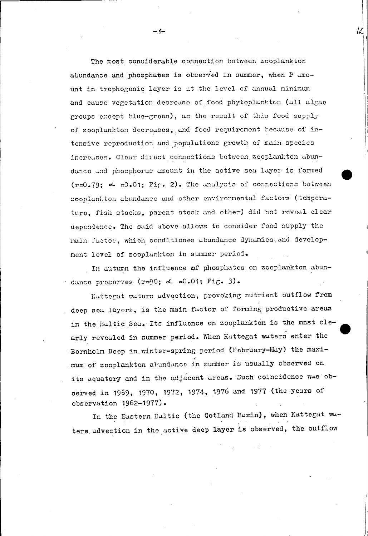The most considerable connection between zooplankton abundance and phosphates is observed in summer, when P amount in trophogenic layer is at the level of annual minimum and cause vegetation decrease of food phytoplankton (all algae groups except blue-green), as the result of this food supply of zooplankton decreases, and food requirement because of intensive reproduction and populations growth of main species increases. Clear direct connections between zeoplankton abundance and phosphorus amount in the active sea layer is formed  $(r=0.79; \nightharpoonup 0.01;$  Fig. 2). The unalysis of connections between zooplankton abundance and other environmental factors (temperature, fish stocks, parent stock and other) did not reveal clear dependence. The said above allows to consider food supply the muin factor, which conditiones abundance dynamics and development level of zooplankton in summer period.

IС

In autumn the influence of phosphates on zooplankton abundance preserves (r=90;  $\alpha$  =0.01; Fig. 3).

Kattegat waters advection, provoking nutrient outflow from deep sea layers, is the main factor of forming productive areas in the Bultic Seu. Its influence on zooplankton is the most clearly revealed in summer period. When Kattegat waters enter the Bornholm Deep in winter-spring period (February-May) the maximum of zooplankton abundance in summer is usually observed on its aquatory and in the adjacent areas. Such coincidence was observed in 1969, 1970, 1972, 1974, 1976 and 1977 (the years of observation 1962-1977).

In the Eastern Bultic (the Gotland Basin), when Kattegat waters advection in the active deep layer is observed, the outflow

- 4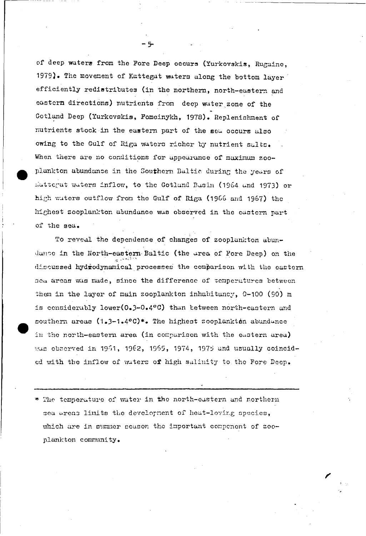of deep waters from the Fore Deep occurs (Yurkovskis, Rugaine, 1979). The movement of Kattegat waters along the bottom layer efficiently redistributes (in the northern, north-eastern and eastern directions) nutrients from deep water zone of the Gotland Deep (Yurkovskis, Fomeinykh, 1978). Replenishment of nutrients stock in the eastern part of the sea occurs also owing to the Gulf of Riga waters richer by nutrient salts. When there are no conditions for appearance of maximum zooplankton abundance in the Southern Baltic during the years of Eattegat waters inflow, to the Gotland Basin (1964 and 1973) or high waters outflow from the Gulf of Riga (1966 and 1967) the highest zooplankton abundance was observed in the eastern part of the sea.

To reveal the dependence of changes of zooplankton abundance in the North-eastern Baltic (the area of Fore Deep) on the discussed hydrodynamical processes the comparison with the eastern sea areas was made, since the difference of temperatures between them in the layer of main zooplankton inhabitancy, 0-100 (90) m is considerably lower(0.3-0.4°C) than tetween north-eastern and southern areas (1.3-1.4°C)\*. The highest zooplankton abundance in the north-eastern area (in comparison with the eastern area) was observed in 1961, 1962, 1965, 1974, 1975 and usually coincided with the inflow of waters of high salinity to the Fore Deep.

\* The temperature of water in the north-eastern and northern sea areas limits the development of heat-loving species, which are in summer season the important compenent of zooplankton community.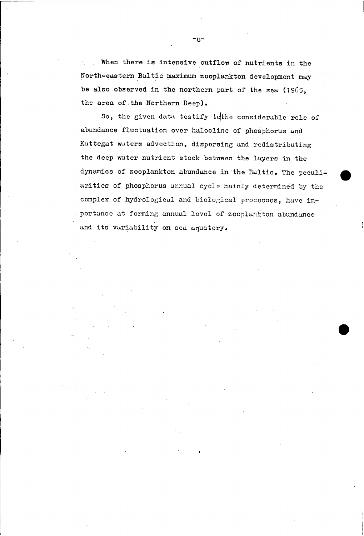When there is intensive outflow of nutrients in the North-eastern Baltic maximum zooplankton development may be also observed in the northern part of the sea (1965, the area of the Northern Deep).

So, the given data testify to the considerable role of abundance fluctuation over halocline of phosphorus and Kattegat waters advection, dispersing and redistributing the deep water nutrient stock between the layers in the dynamics of zooplankton abundance in the Baltic. The peculiarities of phosphorus annual cycle mainly determined by the complex of hydrological and biological processes, have importance at forming annual level of zooplankton abundance and its variability on sea aquatory.

-6-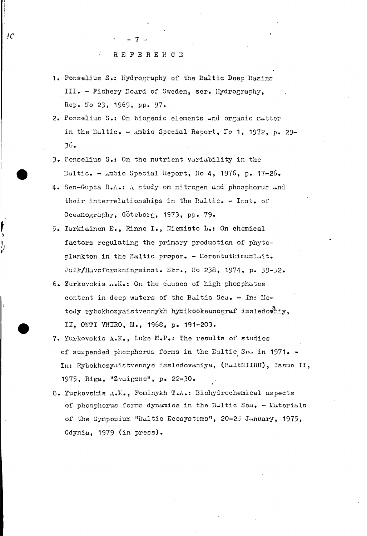$^{10}$ 

- 1. Fonselius S.: Hydrography of the Baltic Deep Basins III. - Fishery Board of Sweden, ser. Hydrography, Rep. No 23, 1969, pp. 97.
- 2. Fonselius S.: On biogenic elements and organic matter in the Baltic. - Ambio Special Report, No 1, 1972, p. 29- $36.$
- 3. Fonselius S.: On the nutrient variability in the Baltic. - Ambio Special Report, No 4, 1976, p. 17-26.
- 4. Sen-Gupta R.A.: A study on nitrogen and phosphorus and their interrelationships in the Baltic. - Inst. of Oceanography, Göteborg, 1973, pp. 79.
- 5. Tarkiainen E., Rinne I., Niemisto L.: On chemical factors regulating the primary production of phytoplankton in the Baltic proper. - Merentutkimuslait. Julk/Havsforskningsinst. Skr., No 238, 1974, p. 39-02.
- 6. Yurkovskis A.K.: On the causes of high phosphates content in deep waters of the Baltic Sea. - In: Netody rybokhozyaistvennykh hymikookeanograf issledowniy, II. ONTI VNIRO, M., 1968, p. 191-203.
- 7. Yurkovskis A.K., Luke M.P.: The results of studies of suspended phosphorus forms in the Baltic Sea in 1971. -In: Rybokhozyaistvennye issledovaniya, (BaltNIIRH), Issue II, 1975, Riga, "Zvaigzne", p. 22-30.
- 8. Yurkovskis A.K., Foninykh T.A.: Biohydrochemical aspects of phosphorus forms dynamics in the Baltic Sea. - Materials of the Symposium "Bultic Ecosystems", 20-25 January, 1975, Gdynia, 1979 (in press).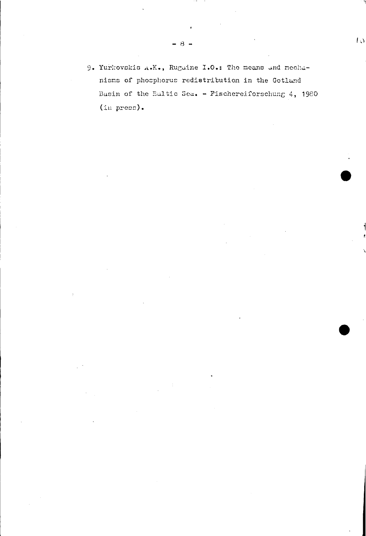9. Yurkovskis A.K., Rugaine I.O.: The means and mechanisms of phosphorus redistribution in the Gotland Basin of the Bultic Sea. - Fischereiforschung 4, 1980  $(in \text{ press}).$ 

 $\overline{1}$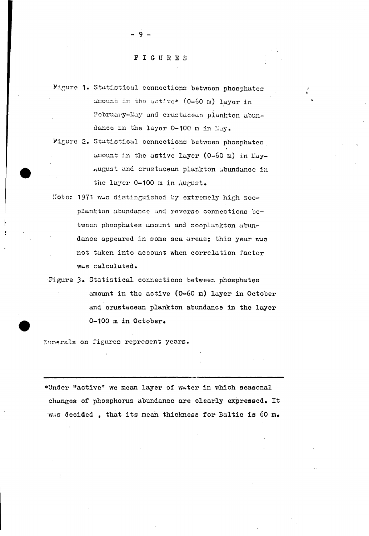## FIGURES

 $-9 -$ 

- Figure 1. Statistical connections between phosphates amount in the active\* (0-60 m) layer in February-May and crustacean plankton abundance in the layer 0-100 m in May.
- Figure 2. Statistical connections between phosphates amount in the active layer (0-60 m) in May-August and crustacean plankton abundance in the layer 0-100 m in August.
- Note: 1971 was distinguished by extremely high zooplankton abundance and reverse connections between phosphates amount and zooplankton abundance appeared in some sea areas; this year was not taken into account when correlation factor was calculated.
- Figure 3. Statistical connections between phosphates amount in the active (0-60 m) layer in October and crustacean plankton abundance in the layer 0-100 m in October.

Numerals on figures represent years.

\*Under "active" we mean layer of water in which seasonal changes of phosphorus abundance are clearly expressed. It was decided, that its mean thickness for Baltic is 60 m.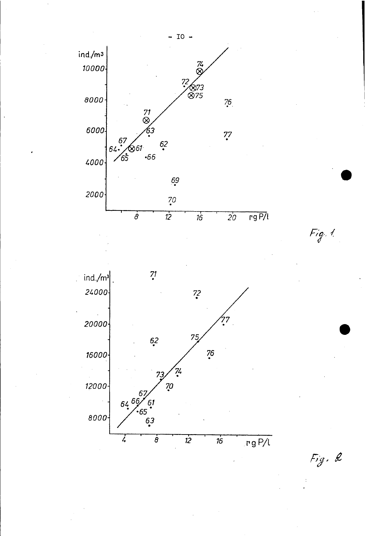

Fig. 2